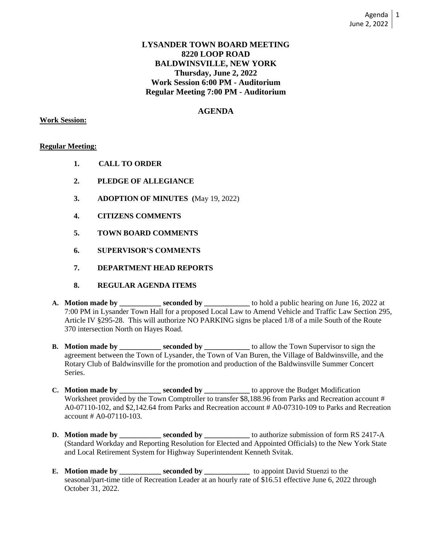## **LYSANDER TOWN BOARD MEETING 8220 LOOP ROAD BALDWINSVILLE, NEW YORK Thursday, June 2, 2022 Work Session 6:00 PM - Auditorium Regular Meeting 7:00 PM - Auditorium**

# **AGENDA**

### **Work Session:**

## **Regular Meeting:**

- **1. CALL TO ORDER**
- **2. PLEDGE OF ALLEGIANCE**
- **3. ADOPTION OF MINUTES (**May 19, 2022)
- **4. CITIZENS COMMENTS**
- **5. TOWN BOARD COMMENTS**
- **6. SUPERVISOR'S COMMENTS**
- **7. DEPARTMENT HEAD REPORTS**
- **8. REGULAR AGENDA ITEMS**
- **A. Motion made by \_\_\_\_\_\_\_\_\_\_\_ seconded by \_\_\_\_\_\_\_\_\_\_\_\_** to hold a public hearing on June 16, 2022 at 7:00 PM in Lysander Town Hall for a proposed Local Law to Amend Vehicle and Traffic Law Section 295, Article IV §295-28. This will authorize NO PARKING signs be placed 1/8 of a mile South of the Route 370 intersection North on Hayes Road.
- **B.** Motion made by \_\_\_\_\_\_\_\_\_\_ seconded by \_\_\_\_\_\_\_\_\_\_\_ to allow the Town Supervisor to sign the agreement between the Town of Lysander, the Town of Van Buren, the Village of Baldwinsville, and the Rotary Club of Baldwinsville for the promotion and production of the Baldwinsville Summer Concert Series.
- **C. Motion made by \_\_\_\_\_\_\_\_\_\_\_ seconded by \_\_\_\_\_\_\_\_\_\_\_\_** to approve the Budget Modification Worksheet provided by the Town Comptroller to transfer \$8,188.96 from Parks and Recreation account # A0-07110-102, and \$2,142.64 from Parks and Recreation account # A0-07310-109 to Parks and Recreation account # A0-07110-103.
- **D. Motion made by \_\_\_\_\_\_\_\_\_ seconded by \_\_\_\_\_\_** to authorize submission of form RS 2417-A (Standard Workday and Reporting Resolution for Elected and Appointed Officials) to the New York State and Local Retirement System for Highway Superintendent Kenneth Svitak.
- **E. Motion made by \_\_\_\_\_\_\_\_\_\_ seconded by** \_\_\_\_\_\_\_\_\_\_\_ to appoint David Stuenzi to the seasonal/part-time title of Recreation Leader at an hourly rate of \$16.51 effective June 6, 2022 through October 31, 2022.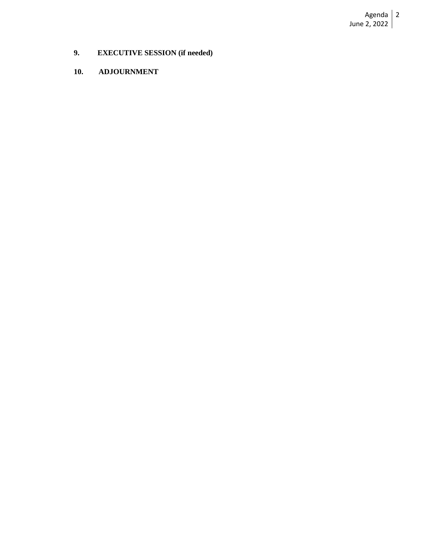Agenda June 2, 2022 2

- **9. EXECUTIVE SESSION (if needed)**
- **10. ADJOURNMENT**